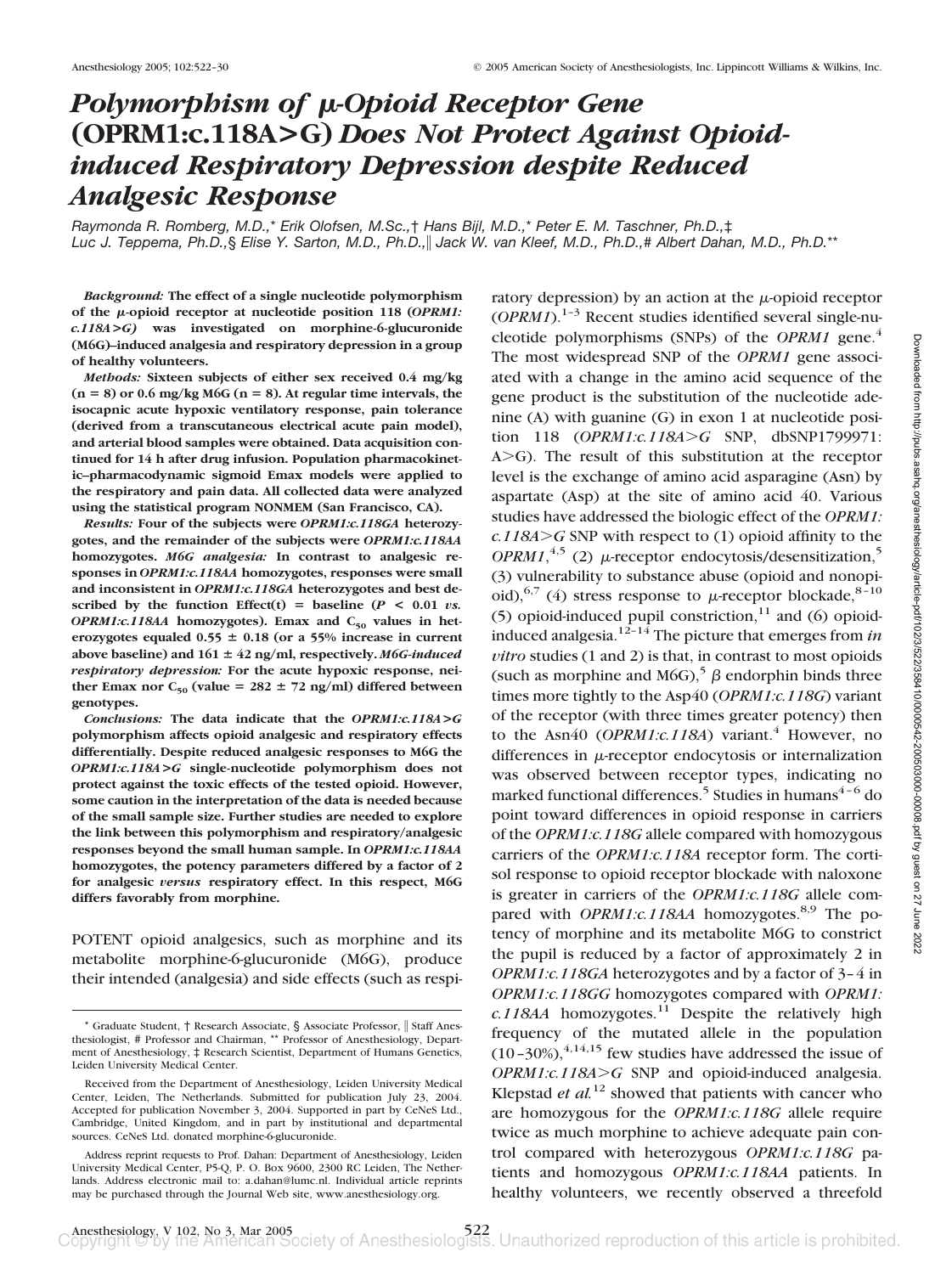# *Polymorphism of µ-Opioid Receptor Gene* **(OPRM1:c.118A>G)** *Does Not Protect Against Opioidinduced Respiratory Depression despite Reduced Analgesic Response*

*Raymonda R. Romberg, M.D.,*\* *Erik Olofsen, M.Sc.,*† *Hans Bijl, M.D.,*\* *Peter E. M. Taschner, Ph.D.,*‡ *Luc J. Teppema, Ph.D.,*§ *Elise Y. Sarton, M.D., Ph.D., Jack W. van Kleef, M.D., Ph.D.,*# *Albert Dahan, M.D., Ph.D.*\*\*

*Background:* **The effect of a single nucleotide polymorphism of the -opioid receptor at nucleotide position 118 (***OPRM1: c.118A***>***G)* **was investigated on morphine-6-glucuronide (M6G)–induced analgesia and respiratory depression in a group of healthy volunteers.**

*Methods:* **Sixteen subjects of either sex received 0.4 mg/kg (n** - **8) or 0.6 mg/kg M6G (n** - **8). At regular time intervals, the isocapnic acute hypoxic ventilatory response, pain tolerance (derived from a transcutaneous electrical acute pain model), and arterial blood samples were obtained. Data acquisition continued for 14 h after drug infusion. Population pharmacokinetic–pharmacodynamic sigmoid Emax models were applied to the respiratory and pain data. All collected data were analyzed using the statistical program NONMEM (San Francisco, CA).**

*Results:* **Four of the subjects were** *OPRM1:c.118GA* **heterozygotes, and the remainder of the subjects were** *OPRM1:c.118AA* **homozygotes.** *M6G analgesia:* **In contrast to analgesic responses in** *OPRM1:c.118AA* **homozygotes, responses were small and inconsistent in** *OPRM1:c.118GA* **heterozygotes and best de**scribed by the function Effect(t) = baseline  $(P < 0.01 \text{ vs.})$ *OPRM1:c.118AA* homozygotes). Emax and C<sub>50</sub> values in heterozygotes equaled  $0.55 \pm 0.18$  (or a 55% increase in current above baseline) and  $161 \pm 42$  ng/ml, respectively. *M6G-induced respiratory depression:* **For the acute hypoxic response, nei**ther Emax nor  $C_{50}$  (value =  $282 \pm 72$  ng/ml) differed between **genotypes.**

*Conclusions:* **The data indicate that the** *OPRM1:c.118A***>***G* **polymorphism affects opioid analgesic and respiratory effects differentially. Despite reduced analgesic responses to M6G the** *OPRM1:c.118A***>***G* **single-nucleotide polymorphism does not protect against the toxic effects of the tested opioid. However, some caution in the interpretation of the data is needed because of the small sample size. Further studies are needed to explore the link between this polymorphism and respiratory/analgesic responses beyond the small human sample. In** *OPRM1:c.118AA* **homozygotes, the potency parameters differed by a factor of 2 for analgesic** *versus* **respiratory effect. In this respect, M6G differs favorably from morphine.**

POTENT opioid analgesics, such as morphine and its metabolite morphine-6-glucuronide (M6G), produce their intended (analgesia) and side effects (such as respi-

ratory depression) by an action at the  $\mu$ -opioid receptor  $(OPRM1)^{1-3}$  Recent studies identified several single-nucleotide polymorphisms (SNPs) of the *OPRM1* gene.<sup>4</sup> The most widespread SNP of the *OPRM1* gene associated with a change in the amino acid sequence of the gene product is the substitution of the nucleotide adenine (A) with guanine (G) in exon 1 at nucleotide position 118 (*OPRM1:c.118AG* SNP, dbSNP1799971:  $A > G$ ). The result of this substitution at the receptor level is the exchange of amino acid asparagine (Asn) by aspartate (Asp) at the site of amino acid 40. Various studies have addressed the biologic effect of the *OPRM1: c.118AG* SNP with respect to (1) opioid affinity to the  $OPRM1$ ,<sup>4,5</sup> (2)  $\mu$ -receptor endocytosis/desensitization,<sup>5</sup> (3) vulnerability to substance abuse (opioid and nonopioid),<sup>6,7</sup> (4) stress response to  $\mu$ -receptor blockade,<sup>8-10</sup> (5) opioid-induced pupil constriction, $11$  and (6) opioidinduced analgesia.<sup>12–14</sup> The picture that emerges from  $in$ *vitro* studies (1 and 2) is that, in contrast to most opioids (such as morphine and M6G),<sup>5</sup>  $\beta$  endorphin binds three times more tightly to the Asp40 (*OPRM1:c.118G*) variant of the receptor (with three times greater potency) then to the Asn40 (*OPRM1:c.118A*) variant.<sup>4</sup> However, no differences in  $\mu$ -receptor endocytosis or internalization was observed between receptor types, indicating no marked functional differences.<sup>5</sup> Studies in humans $4-6$  do point toward differences in opioid response in carriers of the *OPRM1:c.118G* allele compared with homozygous carriers of the *OPRM1:c.118A* receptor form. The cortisol response to opioid receptor blockade with naloxone is greater in carriers of the *OPRM1:c.118G* allele compared with *OPRM1:c.118AA* homozygotes.<sup>8,9</sup> The potency of morphine and its metabolite M6G to constrict the pupil is reduced by a factor of approximately 2 in *OPRM1:c.118GA* heterozygotes and by a factor of 3–4 in *OPRM1:c.118GG* homozygotes compared with *OPRM1:*  $c.118A$ A homozygotes.<sup>11</sup> Despite the relatively high frequency of the mutated allele in the population  $(10-30\%)$ ,<sup>4,14,15</sup> few studies have addressed the issue of *OPRM1:c.118A>G* SNP and opioid-induced analgesia. Klepstad *et al.*<sup>12</sup> showed that patients with cancer who are homozygous for the *OPRM1:c.118G* allele require twice as much morphine to achieve adequate pain control compared with heterozygous *OPRM1:c.118G* patients and homozygous *OPRM1:c.118AA* patients. In healthy volunteers, we recently observed a threefold

<sup>\*</sup> Graduate Student, † Research Associate, § Associate Professor, || Staff Anesthesiologist, # Professor and Chairman, \*\* Professor of Anesthesiology, Department of Anesthesiology, ‡ Research Scientist, Department of Humans Genetics, Leiden University Medical Center.

Received from the Department of Anesthesiology, Leiden University Medical Center, Leiden, The Netherlands. Submitted for publication July 23, 2004. Accepted for publication November 3, 2004. Supported in part by CeNeS Ltd., Cambridge, United Kingdom, and in part by institutional and departmental sources. CeNeS Ltd. donated morphine-6-glucuronide.

Address reprint requests to Prof. Dahan: Department of Anesthesiology, Leiden University Medical Center, P5-Q, P. O. Box 9600, 2300 RC Leiden, The Netherlands. Address electronic mail to: a.dahan@lumc.nl. Individual article reprints may be purchased through the Journal Web site, www.anesthesiology.org.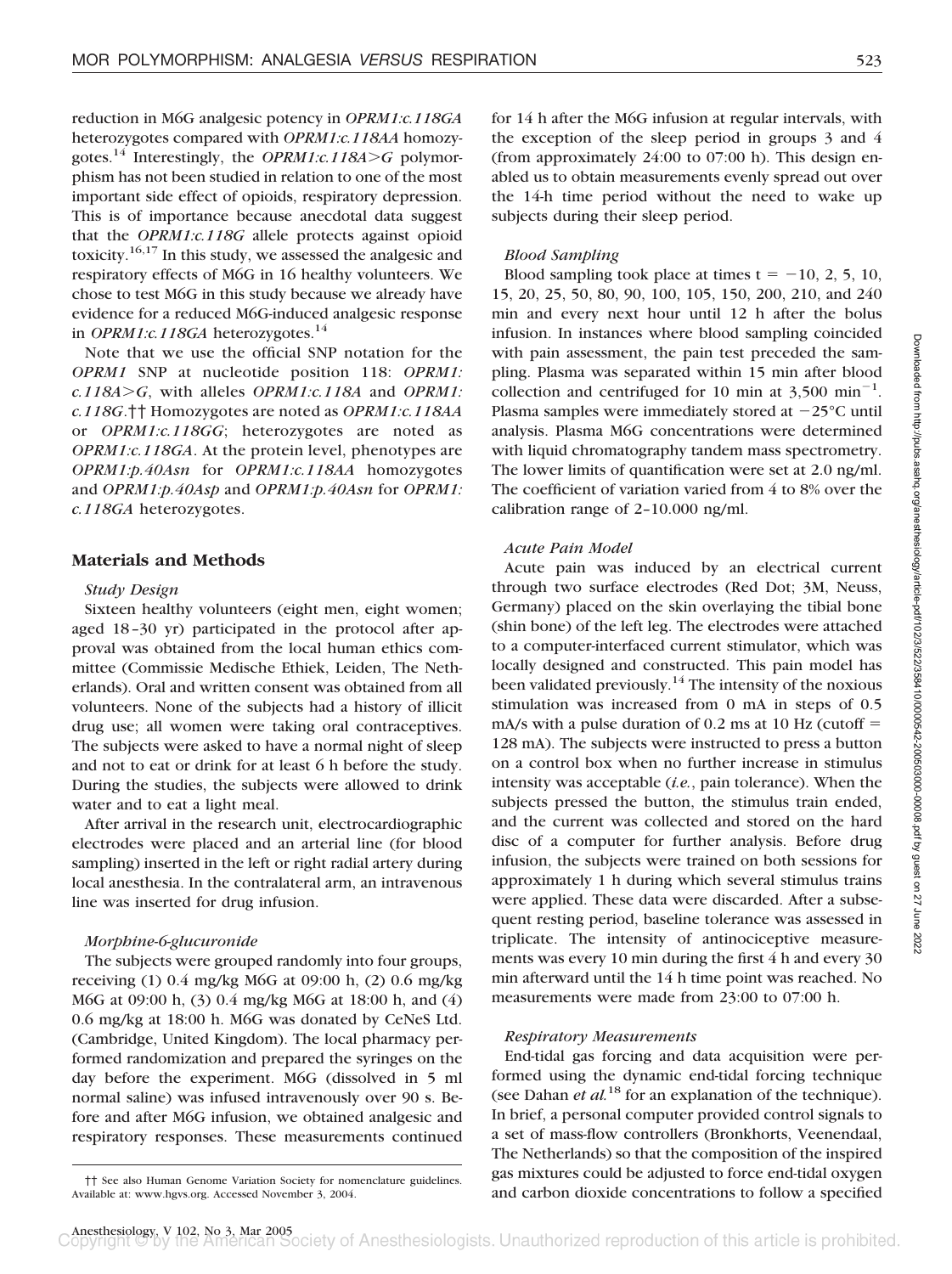reduction in M6G analgesic potency in *OPRM1:c.118GA* heterozygotes compared with *OPRM1:c.118AA* homozygotes.<sup>14</sup> Interestingly, the *OPRM1:c.118A* $>$ *G* polymorphism has not been studied in relation to one of the most important side effect of opioids, respiratory depression. This is of importance because anecdotal data suggest that the *OPRM1:c.118G* allele protects against opioid toxicity.16,17 In this study, we assessed the analgesic and respiratory effects of M6G in 16 healthy volunteers. We chose to test M6G in this study because we already have evidence for a reduced M6G-induced analgesic response in *OPRM1:c.118GA* heterozygotes.<sup>14</sup>

Note that we use the official SNP notation for the *OPRM1* SNP at nucleotide position 118: *OPRM1: c.118AG*, with alleles *OPRM1:c.118A* and *OPRM1: c.118G*.†† Homozygotes are noted as *OPRM1:c.118AA* or *OPRM1:c.118GG*; heterozygotes are noted as *OPRM1:c.118GA*. At the protein level, phenotypes are *OPRM1:p.40Asn* for *OPRM1:c.118AA* homozygotes and *OPRM1:p.40Asp* and *OPRM1:p.40Asn* for *OPRM1: c.118GA* heterozygotes.

# **Materials and Methods**

## *Study Design*

Sixteen healthy volunteers (eight men, eight women; aged 18–30 yr) participated in the protocol after approval was obtained from the local human ethics committee (Commissie Medische Ethiek, Leiden, The Netherlands). Oral and written consent was obtained from all volunteers. None of the subjects had a history of illicit drug use; all women were taking oral contraceptives. The subjects were asked to have a normal night of sleep and not to eat or drink for at least 6 h before the study. During the studies, the subjects were allowed to drink water and to eat a light meal.

After arrival in the research unit, electrocardiographic electrodes were placed and an arterial line (for blood sampling) inserted in the left or right radial artery during local anesthesia. In the contralateral arm, an intravenous line was inserted for drug infusion.

### *Morphine-6-glucuronide*

The subjects were grouped randomly into four groups, receiving (1) 0.4 mg/kg M6G at 09:00 h, (2) 0.6 mg/kg M6G at 09:00 h, (3) 0.4 mg/kg M6G at 18:00 h, and (4) 0.6 mg/kg at 18:00 h. M6G was donated by CeNeS Ltd. (Cambridge, United Kingdom). The local pharmacy performed randomization and prepared the syringes on the day before the experiment. M6G (dissolved in 5 ml normal saline) was infused intravenously over 90 s. Before and after M6G infusion, we obtained analgesic and respiratory responses. These measurements continued

for 14 h after the M6G infusion at regular intervals, with the exception of the sleep period in groups 3 and 4 (from approximately  $24:00$  to  $07:00$  h). This design enabled us to obtain measurements evenly spread out over the 14-h time period without the need to wake up subjects during their sleep period.

## *Blood Sampling*

Blood sampling took place at times  $t = -10, 2, 5, 10,$ 15, 20, 25, 50, 80, 90, 100, 105, 150, 200, 210, and 240 min and every next hour until 12 h after the bolus infusion. In instances where blood sampling coincided with pain assessment, the pain test preceded the sampling. Plasma was separated within 15 min after blood collection and centrifuged for 10 min at  $3,500 \text{ min}^{-1}$ . Plasma samples were immediately stored at  $-25^{\circ}$ C until analysis. Plasma M6G concentrations were determined with liquid chromatography tandem mass spectrometry. The lower limits of quantification were set at 2.0 ng/ml. The coefficient of variation varied from 4 to 8% over the calibration range of 2–10.000 ng/ml.

## *Acute Pain Model*

Acute pain was induced by an electrical current through two surface electrodes (Red Dot; 3M, Neuss, Germany) placed on the skin overlaying the tibial bone (shin bone) of the left leg. The electrodes were attached to a computer-interfaced current stimulator, which was locally designed and constructed. This pain model has been validated previously.<sup>14</sup> The intensity of the noxious stimulation was increased from 0 mA in steps of 0.5 mA/s with a pulse duration of  $0.2$  ms at  $10$  Hz (cutoff  $=$ 128 mA). The subjects were instructed to press a button on a control box when no further increase in stimulus intensity was acceptable (*i.e.*, pain tolerance). When the subjects pressed the button, the stimulus train ended, and the current was collected and stored on the hard disc of a computer for further analysis. Before drug infusion, the subjects were trained on both sessions for approximately 1 h during which several stimulus trains were applied. These data were discarded. After a subsequent resting period, baseline tolerance was assessed in triplicate. The intensity of antinociceptive measurements was every 10 min during the first 4 h and every 30 min afterward until the 14 h time point was reached. No measurements were made from 23:00 to 07:00 h.

## *Respiratory Measurements*

End-tidal gas forcing and data acquisition were performed using the dynamic end-tidal forcing technique (see Dahan *et al.*<sup>18</sup> for an explanation of the technique). In brief, a personal computer provided control signals to a set of mass-flow controllers (Bronkhorts, Veenendaal, The Netherlands) so that the composition of the inspired gas mixtures could be adjusted to force end-tidal oxygen and carbon dioxide concentrations to follow a specified

<sup>††</sup> See also Human Genome Variation Society for nomenclature guidelines. Available at: www.hgvs.org. Accessed November 3, 2004.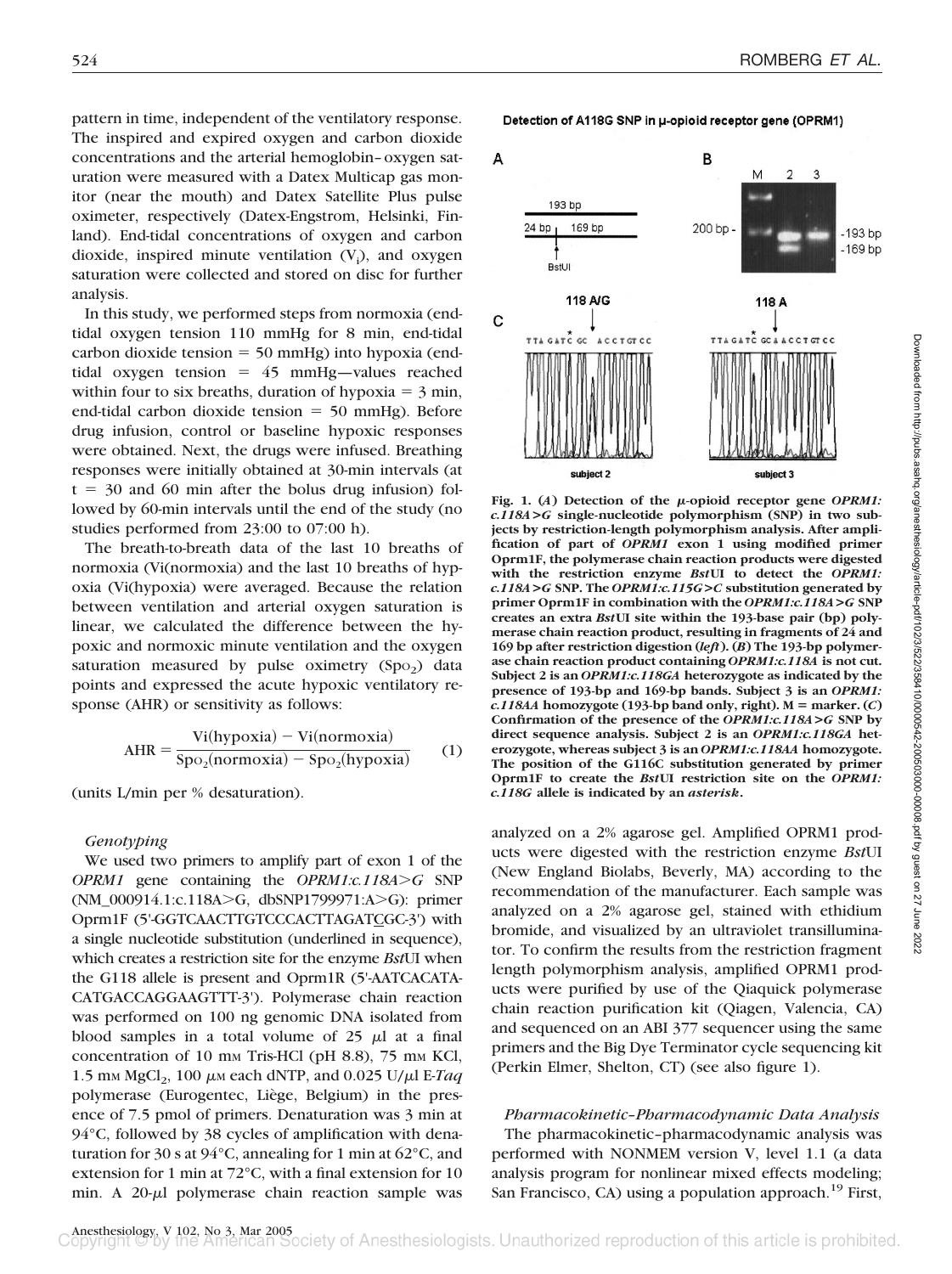pattern in time, independent of the ventilatory response. The inspired and expired oxygen and carbon dioxide concentrations and the arterial hemoglobin–oxygen saturation were measured with a Datex Multicap gas monitor (near the mouth) and Datex Satellite Plus pulse oximeter, respectively (Datex-Engstrom, Helsinki, Finland). End-tidal concentrations of oxygen and carbon dioxide, inspired minute ventilation  $(V_i)$ , and oxygen saturation were collected and stored on disc for further analysis.

In this study, we performed steps from normoxia (endtidal oxygen tension 110 mmHg for 8 min, end-tidal  $carbon dioxide tension = 50 mmHg) into hypoxia (end$ tidal oxygen tension  $= 45$  mmHg—values reached within four to six breaths, duration of hypoxia  $=$  3 min, end-tidal carbon dioxide tension  $= 50$  mmHg). Before drug infusion, control or baseline hypoxic responses were obtained. Next, the drugs were infused. Breathing responses were initially obtained at 30-min intervals (at  $t = 30$  and 60 min after the bolus drug infusion) followed by 60-min intervals until the end of the study (no studies performed from 23:00 to 07:00 h).

The breath-to-breath data of the last 10 breaths of normoxia (Vi(normoxia) and the last 10 breaths of hypoxia (Vi(hypoxia) were averaged. Because the relation between ventilation and arterial oxygen saturation is linear, we calculated the difference between the hypoxic and normoxic minute ventilation and the oxygen saturation measured by pulse oximetry  $(Spo<sub>2</sub>)$  data points and expressed the acute hypoxic ventilatory response (AHR) or sensitivity as follows:

$$
AHR = \frac{Vi(hypoxia) - Vi(normoxia)}{Spo2(normoxia) - Spo2(hypoxia)}
$$
 (1)

(units L/min per % desaturation).

## *Genotyping*

We used two primers to amplify part of exon 1 of the *OPRM1* gene containing the *OPRM1:c.118A* $>$ G SNP (NM\_000914.1:c.118A $\geq$ G, dbSNP1799971:A $\geq$ G): primer Oprm1F (5'-GGTCAACTTGTCCCACTTAGATCGC-3') with a single nucleotide substitution (underlined in sequence), which creates a restriction site for the enzyme *Bst*UI when the G118 allele is present and Oprm1R (5'-AATCACATA-CATGACCAGGAAGTTT-3'). Polymerase chain reaction was performed on 100 ng genomic DNA isolated from blood samples in a total volume of  $25 \mu l$  at a final concentration of 10 mm Tris-HCl (pH 8.8), 75 mm KCl, 1.5 mm MgCl<sub>2</sub>, 100  $\mu$ m each dNTP, and 0.025 U/ $\mu$ l E-*Taq* polymerase (Eurogentec, Liège, Belgium) in the presence of 7.5 pmol of primers. Denaturation was 3 min at 94°C, followed by 38 cycles of amplification with denaturation for 30 s at 94°C, annealing for 1 min at 62°C, and extension for 1 min at 72°C, with a final extension for 10 min. A  $20-\mu l$  polymerase chain reaction sample was

Detection of A118G SNP in µ-opioid receptor gene (OPRM1)



Fig. 1.  $(A)$  Detection of the  $\mu$ -opioid receptor gene *OPRM1*: *c.118A***>***G* **single-nucleotide polymorphism (SNP) in two subjects by restriction-length polymorphism analysis. After amplification of part of** *OPRM1* **exon 1 using modified primer Oprm1F, the polymerase chain reaction products were digested with the restriction enzyme** *Bst***UI to detect the** *OPRM1: c.118A***>***G* **SNP. The** *OPRM1:c.115G***>***C* **substitution generated by primer Oprm1F in combination with the** *OPRM1:c.118A***>***G* **SNP creates an extra** *Bst***UI site within the 193-base pair (bp) polymerase chain reaction product, resulting in fragments of 24 and 169 bp after restriction digestion (***left***). (***B***) The 193-bp polymerase chain reaction product containing** *OPRM1:c.118A* **is not cut. Subject 2 is an** *OPRM1:c.118GA* **heterozygote as indicated by the presence of 193-bp and 169-bp bands. Subject 3 is an** *OPRM1:*  $c.118AA$  homozygote (193-bp band only, right).  $M =$  marker.  $(C)$ **Confirmation of the presence of the** *OPRM1:c.118A***>***G* **SNP by direct sequence analysis. Subject 2 is an** *OPRM1:c.118GA* **heterozygote, whereas subject 3 is an** *OPRM1:c.118AA* **homozygote. The position of the G116C substitution generated by primer Oprm1F to create the** *Bst***UI restriction site on the** *OPRM1: c.118G* **allele is indicated by an** *asterisk***.**

analyzed on a 2% agarose gel. Amplified OPRM1 products were digested with the restriction enzyme *Bst*UI (New England Biolabs, Beverly, MA) according to the recommendation of the manufacturer. Each sample was analyzed on a 2% agarose gel, stained with ethidium bromide, and visualized by an ultraviolet transilluminator. To confirm the results from the restriction fragment length polymorphism analysis, amplified OPRM1 products were purified by use of the Qiaquick polymerase chain reaction purification kit (Qiagen, Valencia, CA) and sequenced on an ABI 377 sequencer using the same primers and the Big Dye Terminator cycle sequencing kit (Perkin Elmer, Shelton, CT) (see also figure 1).

*Pharmacokinetic–Pharmacodynamic Data Analysis* The pharmacokinetic–pharmacodynamic analysis was performed with NONMEM version V, level 1.1 (a data analysis program for nonlinear mixed effects modeling; San Francisco, CA) using a population approach.<sup>19</sup> First,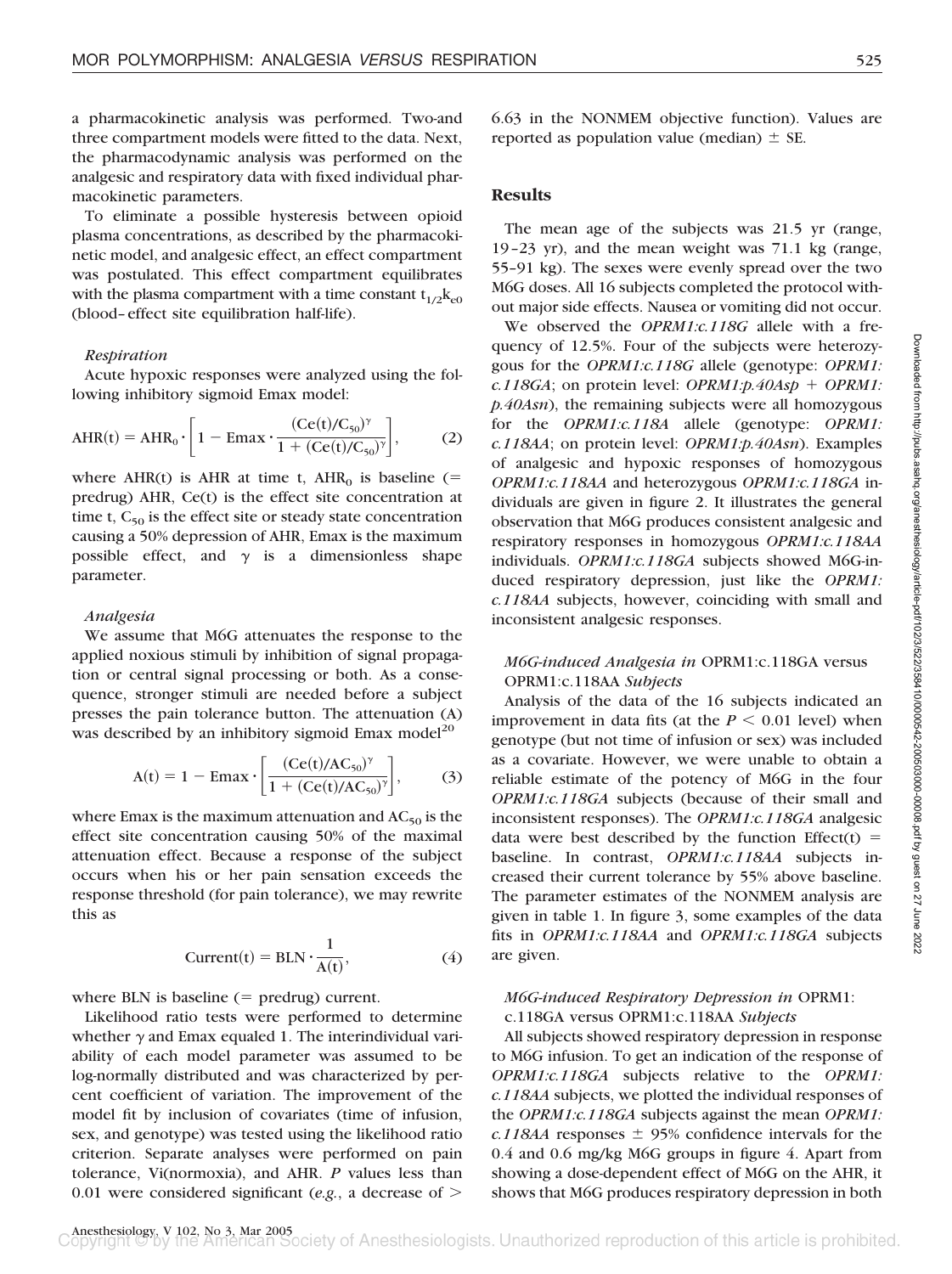a pharmacokinetic analysis was performed. Two-and three compartment models were fitted to the data. Next, the pharmacodynamic analysis was performed on the analgesic and respiratory data with fixed individual pharmacokinetic parameters.

To eliminate a possible hysteresis between opioid plasma concentrations, as described by the pharmacokinetic model, and analgesic effect, an effect compartment was postulated. This effect compartment equilibrates with the plasma compartment with a time constant  $t_{1/2}k_{e0}$ (blood–effect site equilibration half-life).

#### *Respiration*

Acute hypoxic responses were analyzed using the following inhibitory sigmoid Emax model:

$$
AHR(t) = AHR_0 \cdot \left[1 - \text{Emax} \cdot \frac{(Ce(t)/C_{50})^{\gamma}}{1 + (Ce(t)/C_{50})^{\gamma}}\right],
$$
 (2)

where AHR(t) is AHR at time t,  $AHR_0$  is baseline (= predrug) AHR, Ce(t) is the effect site concentration at time t,  $C_{50}$  is the effect site or steady state concentration causing a 50% depression of AHR, Emax is the maximum possible effect, and  $\gamma$  is a dimensionless shape parameter.

#### *Analgesia*

We assume that M6G attenuates the response to the applied noxious stimuli by inhibition of signal propagation or central signal processing or both. As a consequence, stronger stimuli are needed before a subject presses the pain tolerance button. The attenuation (A) was described by an inhibitory sigmoid Emax model<sup>20</sup>

$$
A(t) = 1 - Emax \cdot \left[ \frac{(Ce(t)/AC_{50})^{\gamma}}{1 + (Ce(t)/AC_{50})^{\gamma}} \right],
$$
 (3)

where Emax is the maximum attenuation and  $AC_{50}$  is the effect site concentration causing 50% of the maximal attenuation effect. Because a response of the subject occurs when his or her pain sensation exceeds the response threshold (for pain tolerance), we may rewrite this as

$$
Current(t) = BLN \cdot \frac{1}{A(t)},
$$
\n(4)

where BLN is baseline  $(=$  predrug) current.

Likelihood ratio tests were performed to determine whether  $\gamma$  and Emax equaled 1. The interindividual variability of each model parameter was assumed to be log-normally distributed and was characterized by percent coefficient of variation. The improvement of the model fit by inclusion of covariates (time of infusion, sex, and genotype) was tested using the likelihood ratio criterion. Separate analyses were performed on pain tolerance, Vi(normoxia), and AHR. *P* values less than 0.01 were considered significant (*e.g.*, a decrease of

6.63 in the NONMEM objective function). Values are reported as population value (median)  $\pm$  SE.

# **Results**

The mean age of the subjects was 21.5 yr (range, 19–23 yr), and the mean weight was 71.1 kg (range, 55–91 kg). The sexes were evenly spread over the two M6G doses. All 16 subjects completed the protocol without major side effects. Nausea or vomiting did not occur.

We observed the *OPRM1:c.118G* allele with a frequency of 12.5%. Four of the subjects were heterozygous for the *OPRM1:c.118G* allele (genotype: *OPRM1: c.118GA*; on protein level: *OPRM1:p.40Asp* + *OPRM1: p.40Asn*), the remaining subjects were all homozygous for the *OPRM1:c.118A* allele (genotype: *OPRM1: c.118AA*; on protein level: *OPRM1:p.40Asn*). Examples of analgesic and hypoxic responses of homozygous *OPRM1:c.118AA* and heterozygous *OPRM1:c.118GA* individuals are given in figure 2. It illustrates the general observation that M6G produces consistent analgesic and respiratory responses in homozygous *OPRM1:c.118AA* individuals. *OPRM1:c.118GA* subjects showed M6G-induced respiratory depression, just like the *OPRM1: c.118AA* subjects, however, coinciding with small and inconsistent analgesic responses.

# *M6G-induced Analgesia in* OPRM1:c.118GA versus OPRM1:c.118AA *Subjects*

Analysis of the data of the 16 subjects indicated an improvement in data fits (at the  $P \leq 0.01$  level) when genotype (but not time of infusion or sex) was included as a covariate. However, we were unable to obtain a reliable estimate of the potency of M6G in the four *OPRM1:c.118GA* subjects (because of their small and inconsistent responses). The *OPRM1:c.118GA* analgesic data were best described by the function Effect(t) = baseline. In contrast, *OPRM1:c.118AA* subjects increased their current tolerance by 55% above baseline. The parameter estimates of the NONMEM analysis are given in table 1. In figure 3, some examples of the data fits in *OPRM1:c.118AA* and *OPRM1:c.118GA* subjects are given.

## *M6G-induced Respiratory Depression in* OPRM1: c.118GA versus OPRM1:c.118AA *Subjects*

All subjects showed respiratory depression in response to M6G infusion. To get an indication of the response of *OPRM1:c.118GA* subjects relative to the *OPRM1: c.118AA* subjects, we plotted the individual responses of the *OPRM1:c.118GA* subjects against the mean *OPRM1:*  $c.118A$ A responses  $\pm$  95% confidence intervals for the 0.4 and 0.6 mg/kg M6G groups in figure 4. Apart from showing a dose-dependent effect of M6G on the AHR, it shows that M6G produces respiratory depression in both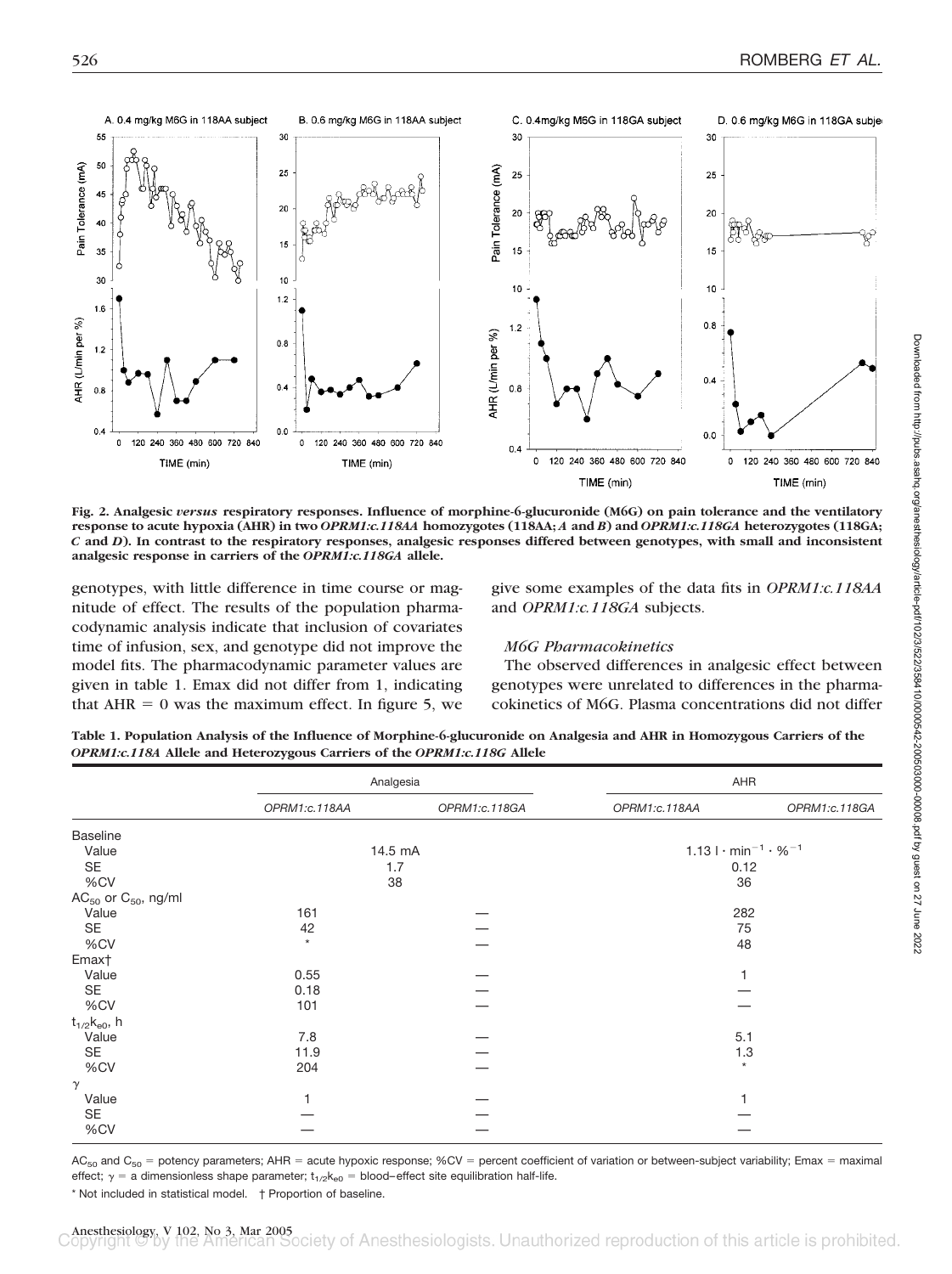

**Fig. 2. Analgesic** *versus* **respiratory responses. Influence of morphine-6-glucuronide (M6G) on pain tolerance and the ventilatory response to acute hypoxia (AHR) in two** *OPRM1:c.118AA* **homozygotes (118AA;** *A* **and** *B***) and** *OPRM1:c.118GA* **heterozygotes (118GA;** *C* **and** *D***). In contrast to the respiratory responses, analgesic responses differed between genotypes, with small and inconsistent analgesic response in carriers of the** *OPRM1:c.118GA* **allele.**

genotypes, with little difference in time course or magnitude of effect. The results of the population pharmacodynamic analysis indicate that inclusion of covariates time of infusion, sex, and genotype did not improve the model fits. The pharmacodynamic parameter values are given in table 1. Emax did not differ from 1, indicating that  $AHR = 0$  was the maximum effect. In figure 5, we

give some examples of the data fits in *OPRM1:c.118AA* and *OPRM1:c.118GA* subjects.

## *M6G Pharmacokinetics*

The observed differences in analgesic effect between genotypes were unrelated to differences in the pharmacokinetics of M6G. Plasma concentrations did not differ

**Table 1. Population Analysis of the Influence of Morphine-6-glucuronide on Analgesia and AHR in Homozygous Carriers of the** *OPRM1:c.118A* **Allele and Heterozygous Carriers of the** *OPRM1:c.118G* **Allele**

|                                      | Analgesia     |               | AHR                                                    |               |  |
|--------------------------------------|---------------|---------------|--------------------------------------------------------|---------------|--|
|                                      | OPRM1:c.118AA | OPRM1:c.118GA | OPRM1:c.118AA                                          | OPRM1:c.118GA |  |
| <b>Baseline</b>                      |               |               |                                                        |               |  |
| Value                                | 14.5 mA       |               | 1.13 $\cdot$ min <sup>-1</sup> $\cdot$ % <sup>-1</sup> |               |  |
| SE                                   | 1.7           |               | 0.12                                                   |               |  |
| %CV                                  | 38            |               | 36                                                     |               |  |
| AC <sub>50</sub> or $C_{50}$ , ng/ml |               |               |                                                        |               |  |
| Value                                | 161           |               | 282                                                    |               |  |
| SE                                   | 42            |               |                                                        | 75            |  |
| %CV                                  | $\star$       |               | 48                                                     |               |  |
| Emax†                                |               |               |                                                        |               |  |
| Value                                | 0.55          |               |                                                        |               |  |
| SE                                   | 0.18          |               |                                                        |               |  |
| %CV                                  | 101           |               |                                                        |               |  |
| $t_{1/2}$ $k_{e0}$ , h               |               |               |                                                        |               |  |
| Value                                | 7.8           |               | 5.1                                                    |               |  |
| SE                                   | 11.9          |               | 1.3                                                    |               |  |
| %CV                                  | 204           |               | $^\star$                                               |               |  |
| $\gamma$                             |               |               |                                                        |               |  |
| Value                                |               |               | 1                                                      |               |  |
| SE                                   |               |               |                                                        |               |  |
| %CV                                  |               |               |                                                        |               |  |

AC<sub>50</sub> and C<sub>50</sub> = potency parameters; AHR = acute hypoxic response; %CV = percent coefficient of variation or between-subject variability; Emax = maximal effect;  $\gamma$  = a dimensionless shape parameter;  $t_{1/2}k_{e0}$  = blood-effect site equilibration half-life.

\* Not included in statistical model. † Proportion of baseline.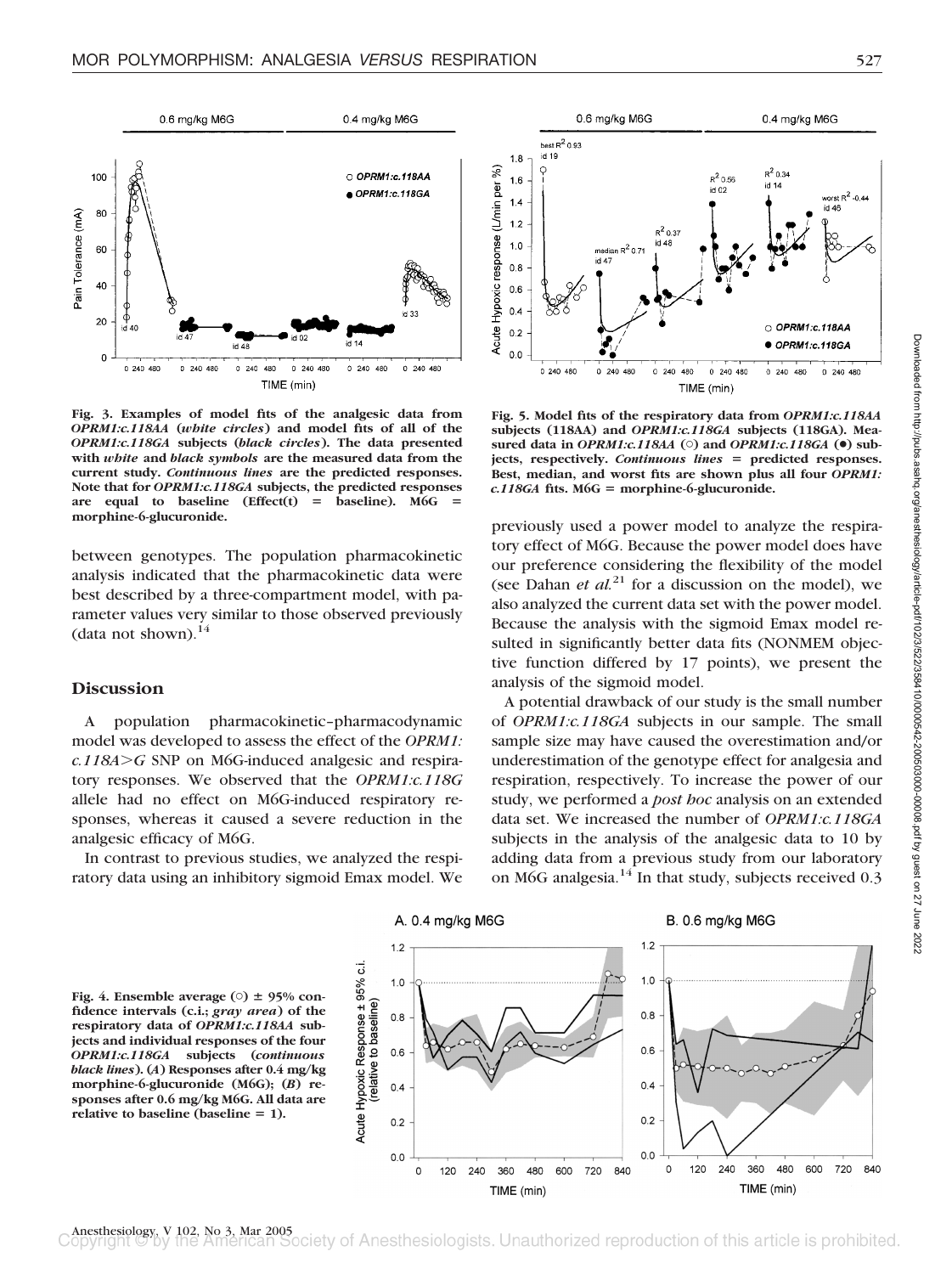

**Fig. 3. Examples of model fits of the analgesic data from** *OPRM1:c.118AA* **(***white circles***) and model fits of all of the** *OPRM1:c.118GA* **subjects (***black circles***). The data presented with** *white* **and** *black symbols* **are the measured data from the current study.** *Continuous lines* **are the predicted responses. Note that for** *OPRM1:c.118GA* **subjects, the predicted responses** are equal to baseline (Effect(t) = baseline). M6G = **morphine-6-glucuronide.**

between genotypes. The population pharmacokinetic analysis indicated that the pharmacokinetic data were best described by a three-compartment model, with parameter values very similar to those observed previously (data not shown). $^{14}$ 

# **Discussion**

A population pharmacokinetic–pharmacodynamic model was developed to assess the effect of the *OPRM1:*  $c.118A > G$  SNP on M6G-induced analgesic and respiratory responses. We observed that the *OPRM1:c.118G* allele had no effect on M6G-induced respiratory responses, whereas it caused a severe reduction in the analgesic efficacy of M6G.

In contrast to previous studies, we analyzed the respiratory data using an inhibitory sigmoid Emax model. We



**Fig. 5. Model fits of the respiratory data from** *OPRM1:c.118AA* **subjects (118AA) and** *OPRM1:c.118GA* **subjects (118GA). Measured data in** *OPRM1:c.118AA* **(**-**) and** *OPRM1:c.118GA* **(**●**) subjects, respectively.** *Continuous lines* - **predicted responses. Best, median, and worst fits are shown plus all four** *OPRM1: c.118GA* **fits. M6G** - **morphine-6-glucuronide.**

previously used a power model to analyze the respiratory effect of M6G. Because the power model does have our preference considering the flexibility of the model (see Dahan *et al.*<sup>21</sup> for a discussion on the model), we also analyzed the current data set with the power model. Because the analysis with the sigmoid Emax model resulted in significantly better data fits (NONMEM objective function differed by 17 points), we present the analysis of the sigmoid model.

A potential drawback of our study is the small number of *OPRM1:c.118GA* subjects in our sample. The small sample size may have caused the overestimation and/or underestimation of the genotype effect for analgesia and respiration, respectively. To increase the power of our study, we performed a *post hoc* analysis on an extended data set. We increased the number of *OPRM1:c.118GA* subjects in the analysis of the analgesic data to 10 by adding data from a previous study from our laboratory on M6G analgesia. $14$  In that study, subjects received 0.3

**Fig. 4. Ensemble average (O)**  $\pm$  **95% confidence intervals (c.i.;** *gray area***) of the respiratory data of** *OPRM1:c.118AA* **subjects and individual responses of the four** *OPRM1:c.118GA* **subjects (***continuous black lines***). (***A***) Responses after 0.4 mg/kg morphine-6-glucuronide (M6G); (***B***) responses after 0.6 mg/kg M6G. All data are** relative to baseline (baseline = 1).







Anesthesiology, V 102, No 3, Mar 2005<br> **Example 20 by the American Society** of Anesthesiologists. Unauthorized reproduction of this article is prohibited.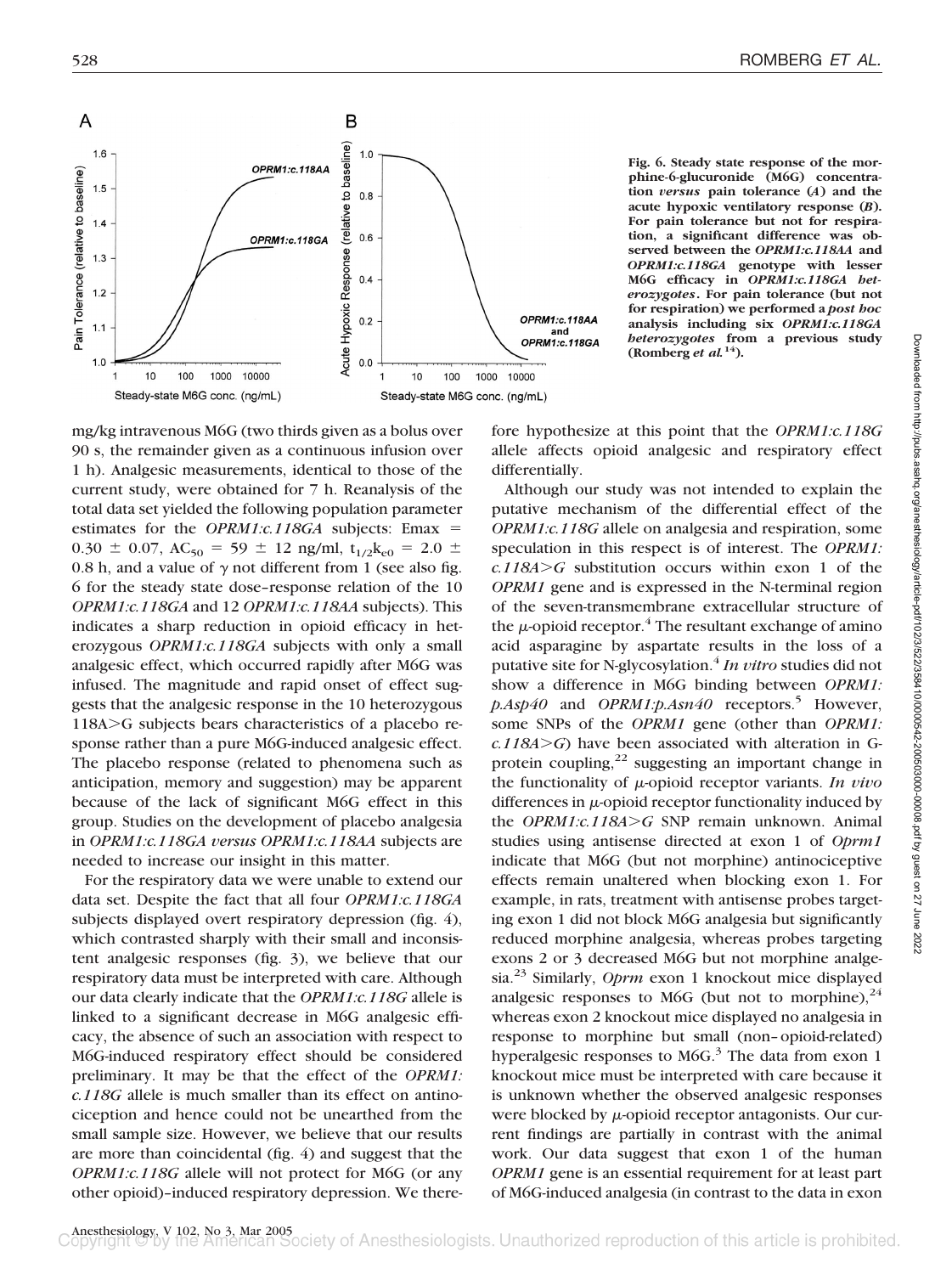

**Fig. 6. Steady state response of the morphine-6-glucuronide (M6G) concentration** *versus* **pain tolerance (***A***) and the acute hypoxic ventilatory response (***B***). For pain tolerance but not for respiration, a significant difference was observed between the** *OPRM1:c.118AA* **and** *OPRM1:c.118GA* **genotype with lesser M6G efficacy in** *OPRM1:c.118GA heterozygotes***. For pain tolerance (but not for respiration) we performed a** *post hoc* **analysis including six** *OPRM1:c.118GA heterozygotes* **from a previous study (Romberg** *et al.***14).**

mg/kg intravenous M6G (two thirds given as a bolus over 90 s, the remainder given as a continuous infusion over 1 h). Analgesic measurements, identical to those of the current study, were obtained for 7 h. Reanalysis of the total data set yielded the following population parameter estimates for the *OPRM1:c.118GA* subjects: Emax =  $0.30 \pm 0.07$ , AC<sub>50</sub> = 59  $\pm$  12 ng/ml, t<sub>1/2</sub>k<sub>e0</sub> = 2.0  $\pm$ 0.8 h, and a value of  $\gamma$  not different from 1 (see also fig. 6 for the steady state dose–response relation of the 10 *OPRM1:c.118GA* and 12 *OPRM1:c.118AA* subjects). This indicates a sharp reduction in opioid efficacy in heterozygous *OPRM1:c.118GA* subjects with only a small analgesic effect, which occurred rapidly after M6G was infused. The magnitude and rapid onset of effect suggests that the analgesic response in the 10 heterozygous  $118A > G$  subjects bears characteristics of a placebo response rather than a pure M6G-induced analgesic effect. The placebo response (related to phenomena such as anticipation, memory and suggestion) may be apparent because of the lack of significant M6G effect in this group. Studies on the development of placebo analgesia in *OPRM1:c.118GA versus OPRM1:c.118AA* subjects are needed to increase our insight in this matter.

For the respiratory data we were unable to extend our data set. Despite the fact that all four *OPRM1:c.118GA* subjects displayed overt respiratory depression (fig. 4), which contrasted sharply with their small and inconsistent analgesic responses (fig. 3), we believe that our respiratory data must be interpreted with care. Although our data clearly indicate that the *OPRM1:c.118G* allele is linked to a significant decrease in M6G analgesic efficacy, the absence of such an association with respect to M6G-induced respiratory effect should be considered preliminary. It may be that the effect of the *OPRM1: c.118G* allele is much smaller than its effect on antinociception and hence could not be unearthed from the small sample size. However, we believe that our results are more than coincidental (fig. 4) and suggest that the *OPRM1:c.118G* allele will not protect for M6G (or any other opioid)–induced respiratory depression. We therefore hypothesize at this point that the *OPRM1:c.118G* allele affects opioid analgesic and respiratory effect differentially.

Although our study was not intended to explain the putative mechanism of the differential effect of the *OPRM1:c.118G* allele on analgesia and respiration, some speculation in this respect is of interest. The *OPRM1:*  $c.118A > G$  substitution occurs within exon 1 of the *OPRM1* gene and is expressed in the N-terminal region of the seven-transmembrane extracellular structure of the  $\mu$ -opioid receptor.<sup>4</sup> The resultant exchange of amino acid asparagine by aspartate results in the loss of a putative site for N-glycosylation.4 *In vitro* studies did not show a difference in M6G binding between *OPRM1: p.Asp40* and *OPRM1:p.Asn40* receptors.<sup>5</sup> However, some SNPs of the *OPRM1* gene (other than *OPRM1:*  $c.118A > G$ ) have been associated with alteration in Gprotein coupling, $^{22}$  suggesting an important change in the functionality of  $\mu$ -opioid receptor variants. *In vivo* differences in  $\mu$ -opioid receptor functionality induced by the *OPRM1:c.118A>G* SNP remain unknown. Animal studies using antisense directed at exon 1 of *Oprm1* indicate that M6G (but not morphine) antinociceptive effects remain unaltered when blocking exon 1. For example, in rats, treatment with antisense probes targeting exon 1 did not block M6G analgesia but significantly reduced morphine analgesia, whereas probes targeting exons 2 or 3 decreased M6G but not morphine analgesia.23 Similarly, *Oprm* exon 1 knockout mice displayed analgesic responses to M6G (but not to morphine),  $^{24}$ whereas exon 2 knockout mice displayed no analgesia in response to morphine but small (non–opioid-related) hyperalgesic responses to M6G. $3$  The data from exon 1 knockout mice must be interpreted with care because it is unknown whether the observed analgesic responses were blocked by  $\mu$ -opioid receptor antagonists. Our current findings are partially in contrast with the animal work. Our data suggest that exon 1 of the human *OPRM1* gene is an essential requirement for at least part of M6G-induced analgesia (in contrast to the data in exon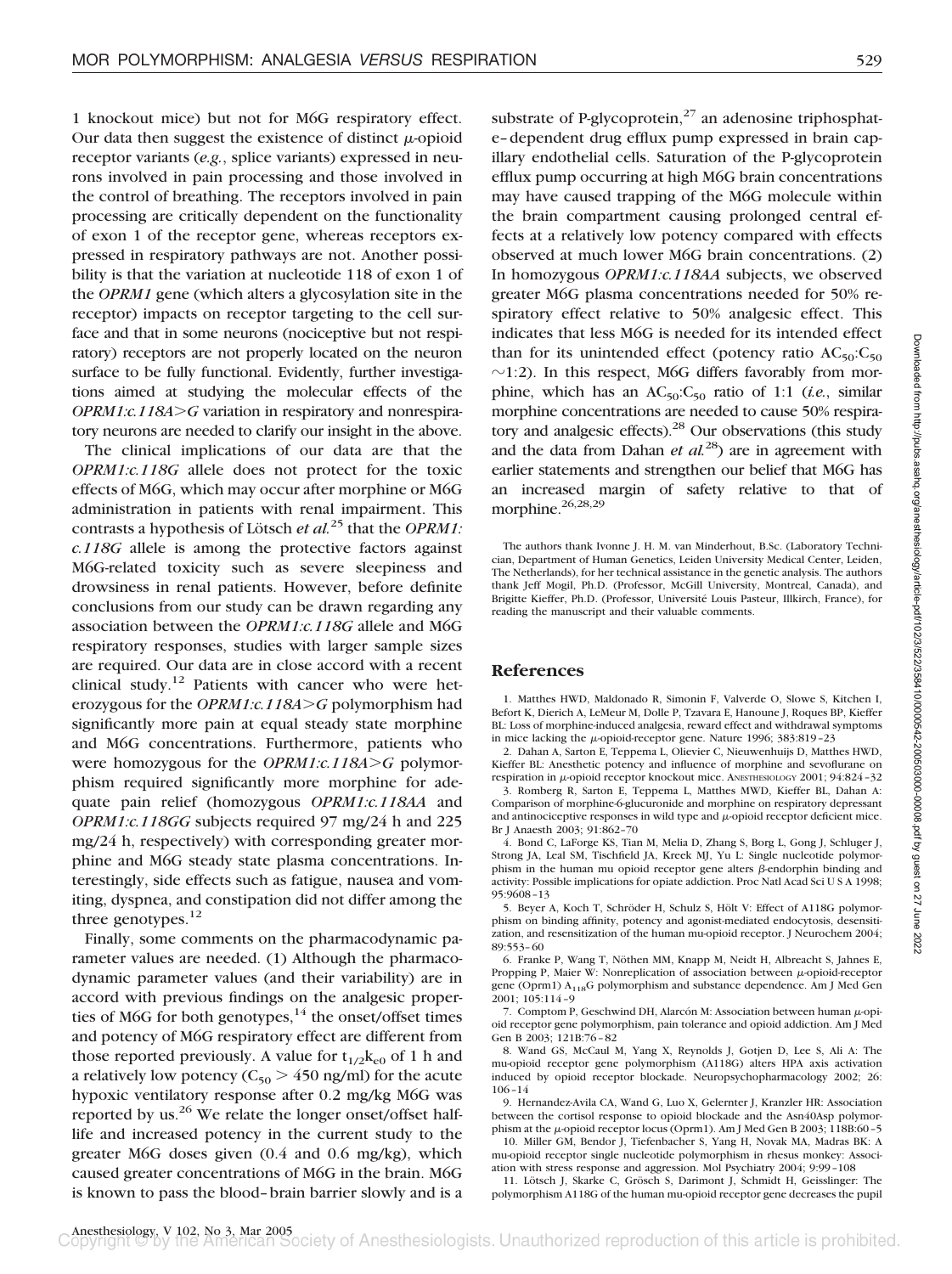1 knockout mice) but not for M6G respiratory effect. Our data then suggest the existence of distinct  $\mu$ -opioid receptor variants (*e.g.*, splice variants) expressed in neurons involved in pain processing and those involved in the control of breathing. The receptors involved in pain processing are critically dependent on the functionality of exon 1 of the receptor gene, whereas receptors expressed in respiratory pathways are not. Another possibility is that the variation at nucleotide 118 of exon 1 of the *OPRM1* gene (which alters a glycosylation site in the receptor) impacts on receptor targeting to the cell surface and that in some neurons (nociceptive but not respiratory) receptors are not properly located on the neuron surface to be fully functional. Evidently, further investigations aimed at studying the molecular effects of the *OPRM1:c.118A>G* variation in respiratory and nonrespiratory neurons are needed to clarify our insight in the above.

The clinical implications of our data are that the *OPRM1:c.118G* allele does not protect for the toxic effects of M6G, which may occur after morphine or M6G administration in patients with renal impairment. This contrasts a hypothesis of Lötsch *et al.*<sup>25</sup> that the *OPRM1: c.118G* allele is among the protective factors against M6G-related toxicity such as severe sleepiness and drowsiness in renal patients. However, before definite conclusions from our study can be drawn regarding any association between the *OPRM1:c.118G* allele and M6G respiratory responses, studies with larger sample sizes are required. Our data are in close accord with a recent clinical study.12 Patients with cancer who were heterozygous for the *OPRM1:c.118AG* polymorphism had significantly more pain at equal steady state morphine and M6G concentrations. Furthermore, patients who were homozygous for the *OPRM1:c.118A* $>$ G polymorphism required significantly more morphine for adequate pain relief (homozygous *OPRM1:c.118AA* and *OPRM1:c.118GG* subjects required 97 mg/24 h and 225 mg/24 h, respectively) with corresponding greater morphine and M6G steady state plasma concentrations. Interestingly, side effects such as fatigue, nausea and vomiting, dyspnea, and constipation did not differ among the three genotypes.<sup>12</sup>

Finally, some comments on the pharmacodynamic parameter values are needed. (1) Although the pharmacodynamic parameter values (and their variability) are in accord with previous findings on the analgesic properties of M6G for both genotypes, $14$  the onset/offset times and potency of M6G respiratory effect are different from those reported previously. A value for  $t_{1/2}k_{e0}$  of 1 h and a relatively low potency ( $C_{50} > 450$  ng/ml) for the acute hypoxic ventilatory response after 0.2 mg/kg M6G was reported by us. $^{26}$  We relate the longer onset/offset halflife and increased potency in the current study to the greater M6G doses given (0.4 and 0.6 mg/kg), which caused greater concentrations of M6G in the brain. M6G is known to pass the blood–brain barrier slowly and is a

substrate of P-glycoprotein, $^{27}$  an adenosine triphosphate–dependent drug efflux pump expressed in brain capillary endothelial cells. Saturation of the P-glycoprotein efflux pump occurring at high M6G brain concentrations may have caused trapping of the M6G molecule within the brain compartment causing prolonged central effects at a relatively low potency compared with effects observed at much lower M6G brain concentrations. (2) In homozygous *OPRM1:c.118AA* subjects, we observed greater M6G plasma concentrations needed for 50% respiratory effect relative to 50% analgesic effect. This indicates that less M6G is needed for its intended effect than for its unintended effect (potency ratio  $AC_{50}$ : $C_{50}$  $\sim$ 1:2). In this respect, M6G differs favorably from morphine, which has an  $AC_{50}$ : $C_{50}$  ratio of 1:1 (*i.e.*, similar morphine concentrations are needed to cause 50% respiratory and analgesic effects).<sup>28</sup> Our observations (this study and the data from Dahan *et al.*28) are in agreement with earlier statements and strengthen our belief that M6G has an increased margin of safety relative to that of morphine.<sup>26,28,29</sup>

The authors thank Ivonne J. H. M. van Minderhout, B.Sc. (Laboratory Technician, Department of Human Genetics, Leiden University Medical Center, Leiden, The Netherlands), for her technical assistance in the genetic analysis. The authors thank Jeff Mogil, Ph.D. (Professor, McGill University, Montreal, Canada), and Brigitte Kieffer, Ph.D. (Professor, Université Louis Pasteur, Illkirch, France), for reading the manuscript and their valuable comments.

## **References**

1. Matthes HWD, Maldonado R, Simonin F, Valverde O, Slowe S, Kitchen I, Befort K, Dierich A, LeMeur M, Dolle P, Tzavara E, Hanoune J, Roques BP, Kieffer BL: Loss of morphine-induced analgesia, reward effect and withdrawal symptoms in mice lacking the  $\mu$ -opioid-receptor gene. Nature 1996; 383:819-23

2. Dahan A, Sarton E, Teppema L, Olievier C, Nieuwenhuijs D, Matthes HWD, Kieffer BL: Anesthetic potency and influence of morphine and sevoflurane on respiration in  $\mu$ -opioid receptor knockout mice. ANESTHESIOLOGY 2001; 94:824-32

3. Romberg R, Sarton E, Teppema L, Matthes MWD, Kieffer BL, Dahan A: Comparison of morphine-6-glucuronide and morphine on respiratory depressant and antinociceptive responses in wild type and  $\mu$ -opioid receptor deficient mice. Br J Anaesth 2003; 91:862–70

4. Bond C, LaForge KS, Tian M, Melia D, Zhang S, Borg L, Gong J, Schluger J, Strong JA, Leal SM, Tischfield JA, Kreek MJ, Yu L: Single nucleotide polymorphism in the human mu opioid receptor gene alters  $\beta$ -endorphin binding and activity: Possible implications for opiate addiction. Proc Natl Acad SciUSA 1998; 95:9608–13

5. Beyer A, Koch T, Schröder H, Schulz S, Hölt V: Effect of A118G polymorphism on binding affinity, potency and agonist-mediated endocytosis, desensitization, and resensitization of the human mu-opioid receptor. J Neurochem 2004; 89:553–60

6. Franke P, Wang T, Nöthen MM, Knapp M, Neidt H, Albreacht S, Jahnes E, Propping P, Maier W: Nonreplication of association between  $\mu$ -opioid-receptor gene (Oprm1) A<sub>118</sub>G polymorphism and substance dependence. Am J Med Gen 2001; 105:114–9

7. Comptom P, Geschwind DH, Alarcón M; Association between human  $\mu$ -opioid receptor gene polymorphism, pain tolerance and opioid addiction. Am J Med Gen B 2003; 121B:76–82

8. Wand GS, McCaul M, Yang X, Reynolds J, Gotjen D, Lee S, Ali A: The mu-opioid receptor gene polymorphism (A118G) alters HPA axis activation induced by opioid receptor blockade. Neuropsychopharmacology 2002; 26: 106–14

9. Hernandez-Avila CA, Wand G, Luo X, Gelernter J, Kranzler HR: Association between the cortisol response to opioid blockade and the Asn40Asp polymorphism at the  $\mu$ -opioid receptor locus (Oprm1). Am J Med Gen B 2003; 118B:60-5

10. Miller GM, Bendor J, Tiefenbacher S, Yang H, Novak MA, Madras BK: A mu-opioid receptor single nucleotide polymorphism in rhesus monkey: Association with stress response and aggression. Mol Psychiatry 2004; 9:99–108

11. Lötsch J, Skarke C, Grösch S, Darimont J, Schmidt H, Geisslinger: The polymorphism A118G of the human mu-opioid receptor gene decreases the pupil